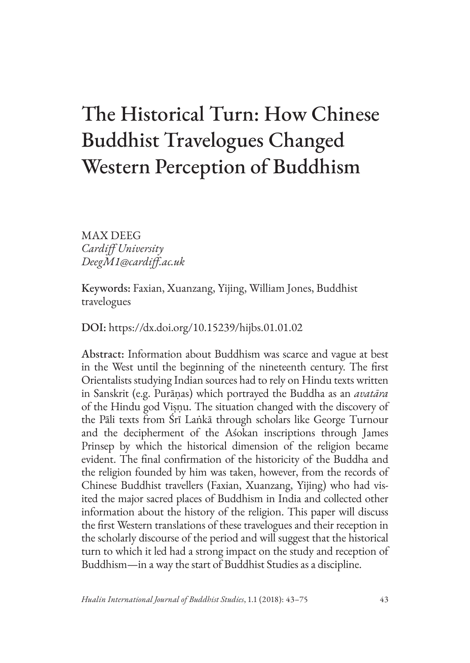# The Historical Turn: How Chinese Buddhist Travelogues Changed Western Perception of Buddhism

MAX DEEG *Cardiff University DeegM1@cardiff.ac.uk*

Keywords: Faxian, Xuanzang, Yijing, William Jones, Buddhist travelogues

DOI: <https://dx.doi.org/10.15239/hijbs.01.01.02>

Abstract: Information about Buddhism was scarce and vague at best in the West until the beginning of the nineteenth century. The first Orientalists studying Indian sources had to rely on Hindu texts written in Sanskrit (e.g. Purāṇas) which portrayed the Buddha as an *avatāra*  of the Hindu god Viṣṇu. The situation changed with the discovery of the Pāli texts from Śrī Laṅkā through scholars like George Turnour and the decipherment of the Aśokan inscriptions through James Prinsep by which the historical dimension of the religion became evident. The final confirmation of the historicity of the Buddha and the religion founded by him was taken, however, from the records of Chinese Buddhist travellers (Faxian, Xuanzang, Yijing) who had visited the major sacred places of Buddhism in India and collected other information about the history of the religion. This paper will discuss the first Western translations of these travelogues and their reception in the scholarly discourse of the period and will suggest that the historical turn to which it led had a strong impact on the study and reception of Buddhism—in a way the start of Buddhist Studies as a discipline.

*Hualin International Journal of Buddhist Studies*, 1.1 (2018): 43–75 43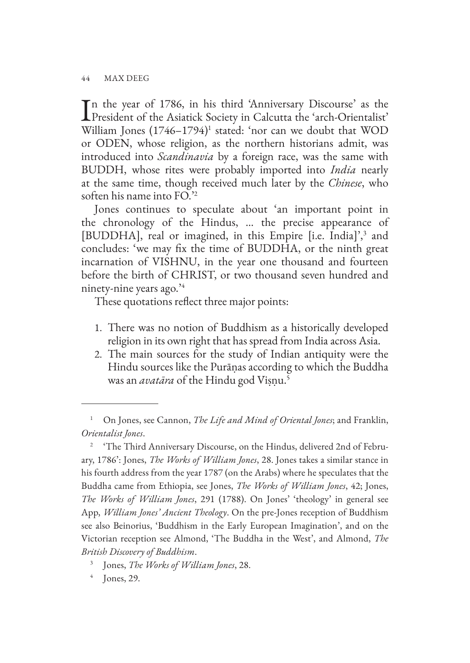In the year of 1786, in his third 'Anniversary Discourse' as the President of the Asiatick Society in Calcutta the 'arch-Orientalist' n the year of 1786, in his third 'Anniversary Discourse' as the William Jones (1746–1794)<sup>1</sup> stated: 'nor can we doubt that WOD or ODEN, whose religion, as the northern historians admit, was introduced into *Scandinavia* by a foreign race, was the same with BUDDH, whose rites were probably imported into *India* nearly at the same time, though received much later by the *Chinese*, who soften his name into FO.'2

Jones continues to speculate about 'an important point in the chronology of the Hindus, … the precise appearance of [BUDDHA], real or imagined, in this Empire [i.e. India]',<sup>3</sup> and concludes: 'we may fix the time of BUDDHA, or the ninth great incarnation of VISHNU, in the year one thousand and fourteen before the birth of CHRIST, or two thousand seven hundred and ninety-nine years ago.'4

These quotations reflect three major points:

- 1. There was no notion of Buddhism as a historically developed religion in its own right that has spread from India across Asia.
- 2. The main sources for the study of Indian antiquity were the Hindu sources like the Purāṇas according to which the Buddha was an *avatāra* of the Hindu god Viṣṇu.5

<sup>&</sup>lt;sup>1</sup> On Jones, see Cannon, *The Life and Mind of Oriental Jones*; and Franklin, *Orientalist Jones*.

<sup>&</sup>lt;sup>2</sup> 'The Third Anniversary Discourse, on the Hindus, delivered 2nd of February, 1786': Jones, *The Works of William Jones*, 28. Jones takes a similar stance in his fourth address from the year 1787 (on the Arabs) where he speculates that the Buddha came from Ethiopia, see Jones, *The Works of William Jones*, 42; Jones, *The Works of William Jones*, 291 (1788). On Jones' 'theology' in general see App, *William Jones' Ancient Theology*. On the pre-Jones reception of Buddhism see also Beinorius, 'Buddhism in the Early European Imagination', and on the Victorian reception see Almond, 'The Buddha in the West', and Almond, *The British Discovery of Buddhism*.

<sup>3</sup> Jones, *The Works of William Jones*, 28.

 $<sup>4</sup>$  Jones, 29.</sup>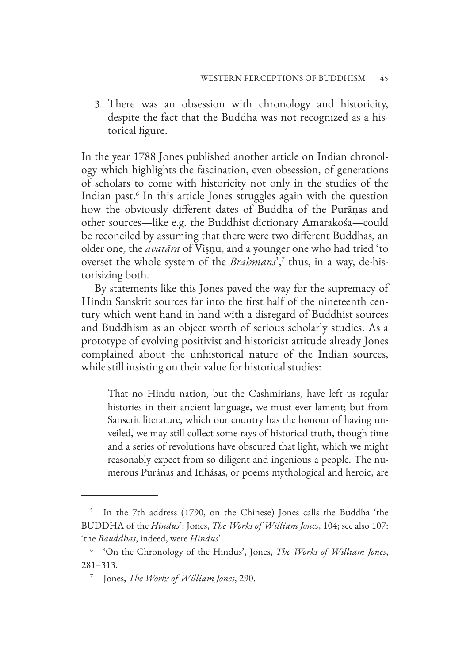3. There was an obsession with chronology and historicity, despite the fact that the Buddha was not recognized as a historical figure.

In the year 1788 Jones published another article on Indian chronology which highlights the fascination, even obsession, of generations of scholars to come with historicity not only in the studies of the Indian past.6 In this article Jones struggles again with the question how the obviously different dates of Buddha of the Purāṇas and other sources—like e.g. the Buddhist dictionary Amarakośa—could be reconciled by assuming that there were two different Buddhas, an older one, the *avatāra* of Viṣṇu, and a younger one who had tried 'to overset the whole system of the *Brahmans*',7 thus, in a way, de-historisizing both.

By statements like this Jones paved the way for the supremacy of Hindu Sanskrit sources far into the first half of the nineteenth century which went hand in hand with a disregard of Buddhist sources and Buddhism as an object worth of serious scholarly studies. As a prototype of evolving positivist and historicist attitude already Jones complained about the unhistorical nature of the Indian sources, while still insisting on their value for historical studies:

That no Hindu nation, but the Cashmirians, have left us regular histories in their ancient language, we must ever lament; but from Sanscrit literature, which our country has the honour of having unveiled, we may still collect some rays of historical truth, though time and a series of revolutions have obscured that light, which we might reasonably expect from so diligent and ingenious a people. The numerous Puránas and Itihásas, or poems mythological and heroic, are

<sup>&</sup>lt;sup>5</sup> In the 7th address (1790, on the Chinese) Jones calls the Buddha 'the BUDDHA of the *Hindus*': Jones, *The Works of William Jones*, 104; see also 107: 'the *Bauddhas*, indeed, were *Hindus*'.

<sup>6</sup> 'On the Chronology of the Hindus', Jones, *The Works of William Jones*, 281–313.

<sup>7</sup> Jones, *The Works of William Jones*, 290.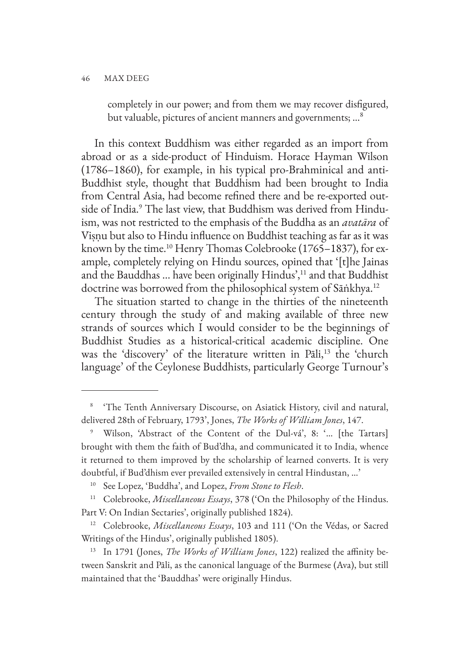completely in our power; and from them we may recover disfigured, but valuable, pictures of ancient manners and governments; …8

In this context Buddhism was either regarded as an import from abroad or as a side-product of Hinduism. Horace Hayman Wilson (1786–1860), for example, in his typical pro-Brahminical and anti-Buddhist style, thought that Buddhism had been brought to India from Central Asia, had become refined there and be re-exported outside of India.<sup>9</sup> The last view, that Buddhism was derived from Hinduism, was not restricted to the emphasis of the Buddha as an *avatāra* of Viṣṇu but also to Hindu influence on Buddhist teaching as far as it was known by the time.<sup>10</sup> Henry Thomas Colebrooke (1765–1837), for example, completely relying on Hindu sources, opined that '[t]he Jainas and the Bauddhas ... have been originally Hindus',<sup>11</sup> and that Buddhist doctrine was borrowed from the philosophical system of Sāṅkhya.12

The situation started to change in the thirties of the nineteenth century through the study of and making available of three new strands of sources which I would consider to be the beginnings of Buddhist Studies as a historical-critical academic discipline. One was the 'discovery' of the literature written in Pāli,<sup>13</sup> the 'church' language' of the Ceylonese Buddhists, particularly George Turnour's

<sup>8</sup> 'The Tenth Anniversary Discourse, on Asiatick History, civil and natural, delivered 28th of February, 1793', Jones, *The Works of William Jones*, 147.

<sup>9</sup> Wilson, 'Abstract of the Content of the Dul-vá', 8: '… [the Tartars] brought with them the faith of Bud'dha, and communicated it to India, whence it returned to them improved by the scholarship of learned converts. It is very doubtful, if Bud'dhism ever prevailed extensively in central Hindustan, …'

See Lopez, 'Buddha', and Lopez, *From Stone to Flesh*.

<sup>11</sup> Colebrooke, *Miscellaneous Essays*, 378 ('On the Philosophy of the Hindus. Part V: On Indian Sectaries', originally published 1824).

<sup>12</sup> Colebrooke, *Miscellaneous Essays*, 103 and 111 ('On the Védas, or Sacred Writings of the Hindus', originally published 1805).

<sup>13</sup> In 1791 (Jones, *The Works of William Jones*, 122) realized the affinity between Sanskrit and Pāli, as the canonical language of the Burmese (Ava), but still maintained that the 'Bauddhas' were originally Hindus.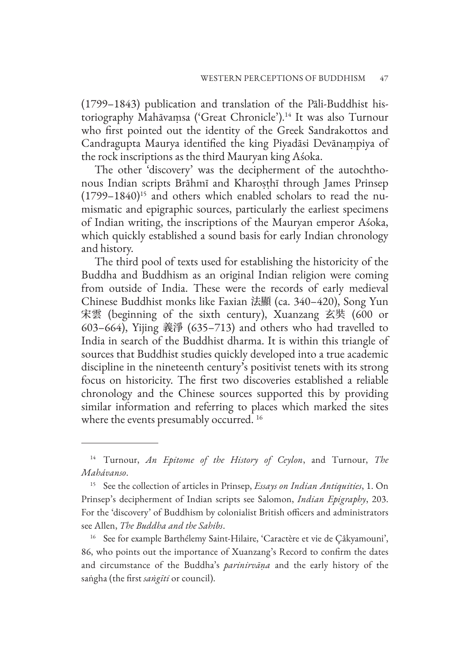(1799–1843) publication and translation of the Pāli-Buddhist historiography Mahāvaṃsa ('Great Chronicle').14 It was also Turnour who first pointed out the identity of the Greek Sandrakottos and Candragupta Maurya identified the king Piyadāsi Devānaṃpiya of the rock inscriptions as the third Mauryan king Aśoka.

The other 'discovery' was the decipherment of the autochthonous Indian scripts Brāhmī and Kharoṣṭhī through James Prinsep  $(1799-1840)^{15}$  and others which enabled scholars to read the numismatic and epigraphic sources, particularly the earliest specimens of Indian writing, the inscriptions of the Mauryan emperor Aśoka, which quickly established a sound basis for early Indian chronology and history.

The third pool of texts used for establishing the historicity of the Buddha and Buddhism as an original Indian religion were coming from outside of India. These were the records of early medieval Chinese Buddhist monks like Faxian 法顯 (ca. 340–420), Song Yun 宋雲 (beginning of the sixth century), Xuanzang 玄奘 (600 or 603–664), Yijing 義淨 (635–713) and others who had travelled to India in search of the Buddhist dharma. It is within this triangle of sources that Buddhist studies quickly developed into a true academic discipline in the nineteenth century's positivist tenets with its strong focus on historicity. The first two discoveries established a reliable chronology and the Chinese sources supported this by providing similar information and referring to places which marked the sites where the events presumably occurred.<sup>16</sup>

<sup>16</sup> See for example Barthélemy Saint-Hilaire, 'Caractère et vie de Çâkyamouni', 86, who points out the importance of Xuanzang's Record to confirm the dates and circumstance of the Buddha's *parinirvāṇa* and the early history of the saṅgha (the first *saṅgīti* or council).

<sup>14</sup> Turnour, *An Epitome of the History of Ceylon*, and Turnour, *The Mahávanso*.

<sup>15</sup> See the collection of articles in Prinsep, *Essays on Indian Antiquities*, 1. On Prinsep's decipherment of Indian scripts see Salomon, *Indian Epigraphy*, 203. For the 'discovery' of Buddhism by colonialist British officers and administrators see Allen, *The Buddha and the Sahibs*.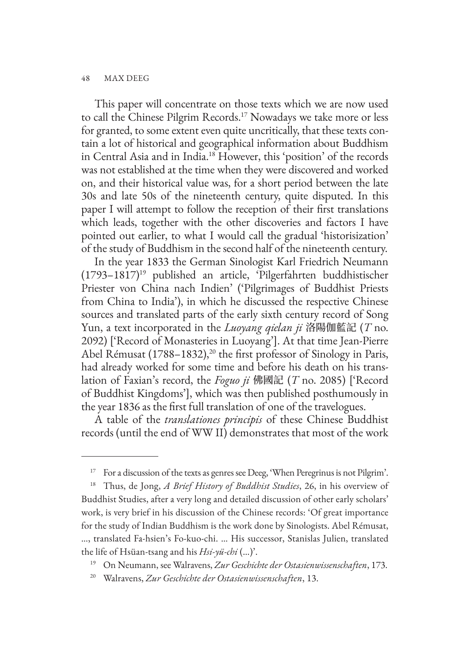This paper will concentrate on those texts which we are now used to call the Chinese Pilgrim Records.17 Nowadays we take more or less for granted, to some extent even quite uncritically, that these texts contain a lot of historical and geographical information about Buddhism in Central Asia and in India.18 However, this 'position' of the records was not established at the time when they were discovered and worked on, and their historical value was, for a short period between the late 30s and late 50s of the nineteenth century, quite disputed. In this paper I will attempt to follow the reception of their first translations which leads, together with the other discoveries and factors I have pointed out earlier, to what I would call the gradual 'historisization' of the study of Buddhism in the second half of the nineteenth century.

In the year 1833 the German Sinologist Karl Friedrich Neumann  $(1793-1817)^{19}$  published an article, 'Pilgerfahrten buddhistischer Priester von China nach Indien' ('Pilgrimages of Buddhist Priests from China to India'), in which he discussed the respective Chinese sources and translated parts of the early sixth century record of Song Yun, a text incorporated in the *Luoyang qielan ji* 洛陽伽藍記 (*T* no. 2092) ['Record of Monasteries in Luoyang']. At that time Jean-Pierre Abel Rémusat (1788–1832),<sup>20</sup> the first professor of Sinology in Paris, had already worked for some time and before his death on his translation of Faxian's record, the *Foguo ji* 佛國記 (*T* no. 2085) ['Record of Buddhist Kingdoms'], which was then published posthumously in the year 1836 as the first full translation of one of the travelogues.

A table of the *translationes principis* of these Chinese Buddhist records (until the end of WW II) demonstrates that most of the work

<sup>17</sup> For a discussion of the texts as genres see Deeg, 'When Peregrinus is not Pilgrim'.

<sup>18</sup> Thus, de Jong, *A Brief History of Buddhist Studies*, 26, in his overview of Buddhist Studies, after a very long and detailed discussion of other early scholars' work, is very brief in his discussion of the Chinese records: 'Of great importance for the study of Indian Buddhism is the work done by Sinologists. Abel Rémusat, …, translated Fa-hsien's Fo-kuo-chi. … His successor, Stanislas Julien, translated the life of Hsüan-tsang and his *Hsi-yü-chi* (…)'.

<sup>19</sup> On Neumann, see Walravens, *Zur Geschichte der Ostasienwissenschaften*, 173.

<sup>20</sup> Walravens, *Zur Geschichte der Ostasienwissenschaften*, 13.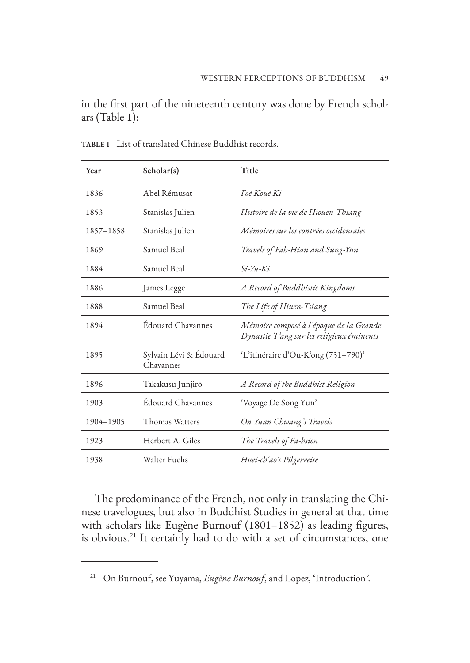in the first part of the nineteenth century was done by French scholars (Table 1):

| Year      | Scholar(s)                          | Title                                                                                |
|-----------|-------------------------------------|--------------------------------------------------------------------------------------|
| 1836      | Abel Rémusat                        | Foĕ Kouĕ Ki                                                                          |
| 1853      | Stanislas Julien                    | Histoire de la vie de Hiouen-Thsang                                                  |
| 1857-1858 | Stanislas Julien                    | Mémoires sur les contrées occidentales                                               |
| 1869      | Samuel Beal                         | Travels of Fah-Hian and Sung-Yun                                                     |
| 1884      | Samuel Beal                         | $Si$ -Yu-Ki                                                                          |
| 1886      | James Legge                         | A Record of Buddhistic Kingdoms                                                      |
| 1888      | Samuel Beal                         | The Life of Hiuen-Tsiang                                                             |
| 1894      | Édouard Chavannes                   | Mémoire composé à l'époque de la Grande<br>Dynastie T'ang sur les religieux éminents |
| 1895      | Sylvain Lévi & Édouard<br>Chavannes | 'L'itinéraire d'Ou-K'ong (751–790)'                                                  |
| 1896      | Takakusu Junjirō                    | A Record of the Buddhist Religion                                                    |
| 1903      | Édouard Chavannes                   | 'Voyage De Song Yun'                                                                 |
| 1904-1905 | Thomas Watters                      | On Yuan Chwang's Travels                                                             |
| 1923      | Herbert A. Giles                    | The Travels of Fa-hsien                                                              |
| 1938      | Walter Fuchs                        | Huei-ch'ao's Pilgerreise                                                             |

**TABLE 1** List of translated Chinese Buddhist records.

The predominance of the French, not only in translating the Chinese travelogues, but also in Buddhist Studies in general at that time with scholars like Eugène Burnouf (1801–1852) as leading figures, is obvious.21 It certainly had to do with a set of circumstances, one

<sup>21</sup> On Burnouf, see Yuyama, *Eugène Burnouf*, and Lopez, 'Introduction*'*.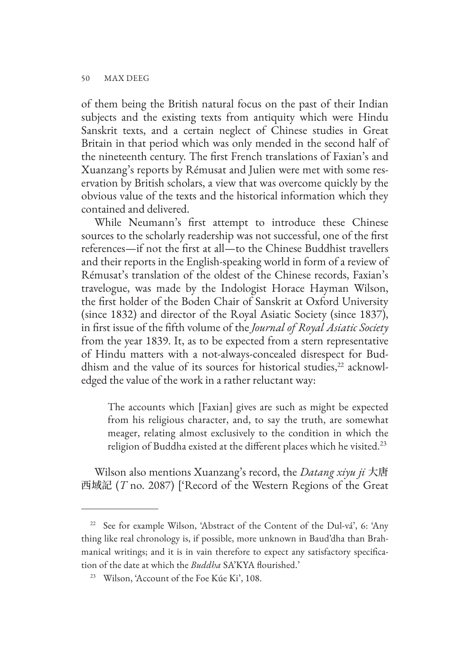of them being the British natural focus on the past of their Indian subjects and the existing texts from antiquity which were Hindu Sanskrit texts, and a certain neglect of Chinese studies in Great Britain in that period which was only mended in the second half of the nineteenth century. The first French translations of Faxian's and Xuanzang's reports by Rémusat and Julien were met with some reservation by British scholars, a view that was overcome quickly by the obvious value of the texts and the historical information which they contained and delivered.

While Neumann's first attempt to introduce these Chinese sources to the scholarly readership was not successful, one of the first references—if not the first at all—to the Chinese Buddhist travellers and their reports in the English-speaking world in form of a review of Rémusat's translation of the oldest of the Chinese records, Faxian's travelogue, was made by the Indologist Horace Hayman Wilson, the first holder of the Boden Chair of Sanskrit at Oxford University (since 1832) and director of the Royal Asiatic Society (since 1837), in first issue of the fifth volume of the *Journal of Royal Asiatic Society*  from the year 1839. It, as to be expected from a stern representative of Hindu matters with a not-always-concealed disrespect for Buddhism and the value of its sources for historical studies, $^{22}$  acknowledged the value of the work in a rather reluctant way:

The accounts which [Faxian] gives are such as might be expected from his religious character, and, to say the truth, are somewhat meager, relating almost exclusively to the condition in which the religion of Buddha existed at the different places which he visited. $^{23}$ 

Wilson also mentions Xuanzang's record, the *Datang xiyu ji* 大唐 西域記 (*T* no. 2087) ['Record of the Western Regions of the Great

<sup>&</sup>lt;sup>22</sup> See for example Wilson, 'Abstract of the Content of the Dul-vá', 6: 'Any thing like real chronology is, if possible, more unknown in Baud'dha than Brahmanical writings; and it is in vain therefore to expect any satisfactory specification of the date at which the *Buddha* SA'KYA flourished.'

<sup>&</sup>lt;sup>23</sup> Wilson, 'Account of the Foe Kúe Ki', 108.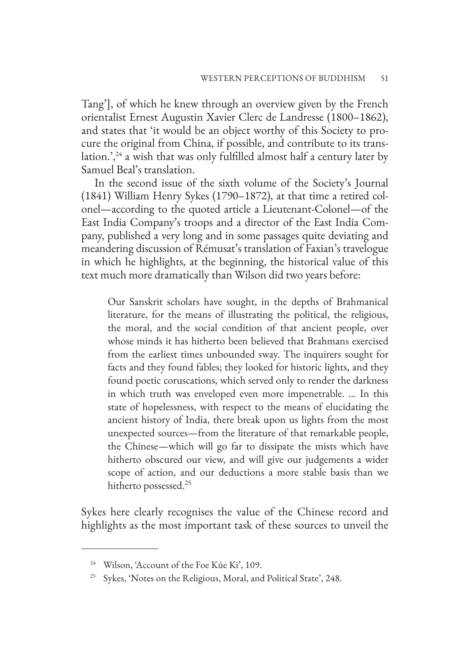Tang'], of which he knew through an overview given by the French orientalist Ernest Augustin Xavier Clerc de Landresse (1800–1862), and states that 'it would be an object worthy of this Society to procure the original from China, if possible, and contribute to its translation.', $24$  a wish that was only fulfilled almost half a century later by Samuel Beal's translation.

In the second issue of the sixth volume of the Society's Journal (1841) William Henry Sykes (1790–1872), at that time a retired colonel—according to the quoted article a Lieutenant-Colonel—of the East India Company's troops and a director of the East India Company, published a very long and in some passages quite deviating and meandering discussion of Rémusat's translation of Faxian's travelogue in which he highlights, at the beginning, the historical value of this text much more dramatically than Wilson did two years before:

Our Sanskrit scholars have sought, in the depths of Brahmanical literature, for the means of illustrating the political, the religious, the moral, and the social condition of that ancient people, over whose minds it has hitherto been believed that Brahmans exercised from the earliest times unbounded sway. The inquirers sought for facts and they found fables; they looked for historic lights, and they found poetic coruscations, which served only to render the darkness in which truth was enveloped even more impenetrable. … In this state of hopelessness, with respect to the means of elucidating the ancient history of India, there break upon us lights from the most unexpected sources—from the literature of that remarkable people, the Chinese—which will go far to dissipate the mists which have hitherto obscured our view, and will give our judgements a wider scope of action, and our deductions a more stable basis than we hitherto possessed.<sup>25</sup>

Sykes here clearly recognises the value of the Chinese record and highlights as the most important task of these sources to unveil the

<sup>&</sup>lt;sup>24</sup> Wilson, 'Account of the Foe Kúe Ki', 109.

<sup>&</sup>lt;sup>25</sup> Sykes, 'Notes on the Religious, Moral, and Political State', 248.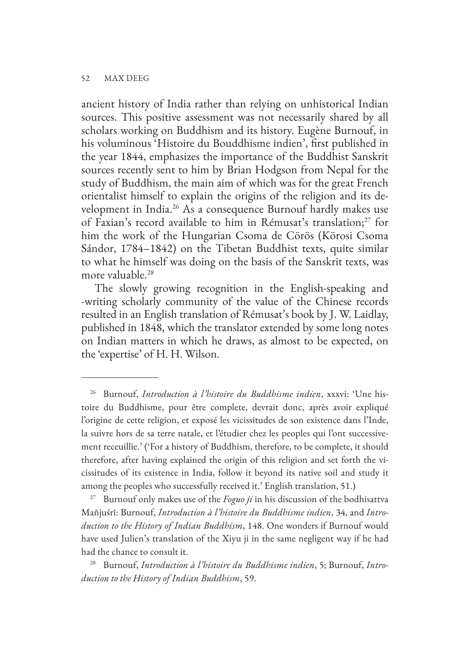ancient history of India rather than relying on unhistorical Indian sources. This positive assessment was not necessarily shared by all scholars working on Buddhism and its history. Eugène Burnouf, in his voluminous 'Histoire du Bouddhisme indien', first published in the year 1844, emphasizes the importance of the Buddhist Sanskrit sources recently sent to him by Brian Hodgson from Nepal for the study of Buddhism, the main aim of which was for the great French orientalist himself to explain the origins of the religion and its development in India.<sup>26</sup> As a consequence Burnouf hardly makes use of Faxian's record available to him in Rémusat's translation; $^{27}$  for him the work of the Hungarian Csoma de Cörös (Körosi Csoma Sándor, 1784–1842) on the Tibetan Buddhist texts, quite similar to what he himself was doing on the basis of the Sanskrit texts, was more valuable.<sup>28</sup>

The slowly growing recognition in the English-speaking and -writing scholarly community of the value of the Chinese records resulted in an English translation of Rémusat's book by J. W. Laidlay, published in 1848, which the translator extended by some long notes on Indian matters in which he draws, as almost to be expected, on the 'expertise' of H. H. Wilson.

<sup>26</sup> Burnouf, *Introduction à l'histoire du Buddhisme indien*, xxxvi: 'Une histoire du Buddhisme, pour être complete, devrait donc, après avoir expliqué l'origine de cette religion, et exposé les vicissitudes de son existence dans l'Inde, la suivre hors de sa terre natale, et l'étudier chez les peoples qui l'ont successivement receuillie.' ('For a history of Buddhism, therefore, to be complete, it should therefore, after having explained the origin of this religion and set forth the vicissitudes of its existence in India, follow it beyond its native soil and study it among the peoples who successfully received it.' English translation, 51.)

<sup>27</sup> Burnouf only makes use of the *Foguo ji* in his discussion of the bodhisattva Mañjuśrī: Burnouf, *Introduction à l'histoire du Buddhisme indien*, 34, and *Introduction to the History of Indian Buddhism*, 148. One wonders if Burnouf would have used Julien's translation of the Xiyu ji in the same negligent way if he had had the chance to consult it.

<sup>28</sup> Burnouf, *Introduction à l'histoire du Buddhisme indien*, 5; Burnouf, *Introduction to the History of Indian Buddhism*, 59.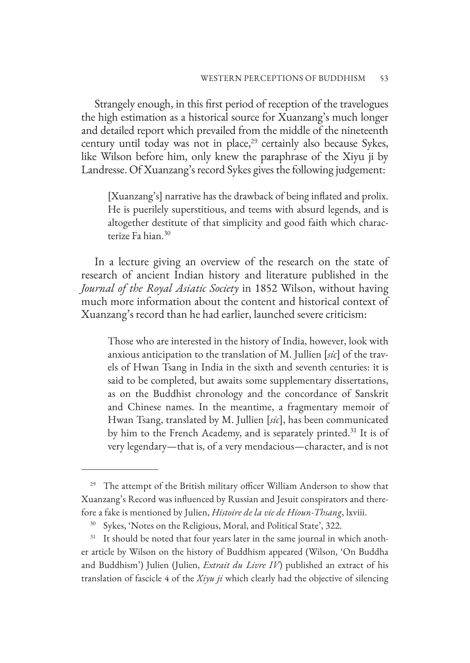Strangely enough, in this first period of reception of the travelogues the high estimation as a historical source for Xuanzang's much longer and detailed report which prevailed from the middle of the nineteenth century until today was not in place,<sup>29</sup> certainly also because Sykes, like Wilson before him, only knew the paraphrase of the Xiyu ji by Landresse. Of Xuanzang's record Sykes gives the following judgement:

[Xuanzang's] narrative has the drawback of being inflated and prolix. He is puerilely superstitious, and teems with absurd legends, and is altogether destitute of that simplicity and good faith which characterize Fa hian.<sup>30</sup>

In a lecture giving an overview of the research on the state of research of ancient Indian history and literature published in the *Journal of the Royal Asiatic Society* in 1852 Wilson, without having much more information about the content and historical context of Xuanzang's record than he had earlier, launched severe criticism:

Those who are interested in the history of India, however, look with anxious anticipation to the translation of M. Jullien [*sic*] of the travels of Hwan Tsang in India in the sixth and seventh centuries: it is said to be completed, but awaits some supplementary dissertations, as on the Buddhist chronology and the concordance of Sanskrit and Chinese names. In the meantime, a fragmentary memoir of Hwan Tsang, translated by M. Jullien [*sic*], has been communicated by him to the French Academy, and is separately printed.<sup>31</sup> It is of very legendary—that is, of a very mendacious—character, and is not

<sup>&</sup>lt;sup>29</sup> The attempt of the British military officer William Anderson to show that Xuanzang's Record was influenced by Russian and Jesuit conspirators and therefore a fake is mentioned by Julien, *Histoire de la vie de Hioun-Thsang*, lxviii.

<sup>&</sup>lt;sup>30</sup> Sykes, 'Notes on the Religious, Moral, and Political State', 322.

<sup>&</sup>lt;sup>31</sup> It should be noted that four years later in the same journal in which another article by Wilson on the history of Buddhism appeared (Wilson, 'On Buddha and Buddhism') Julien (Julien, *Extrait du Livre IV*) published an extract of his translation of fascicle 4 of the *Xiyu ji* which clearly had the objective of silencing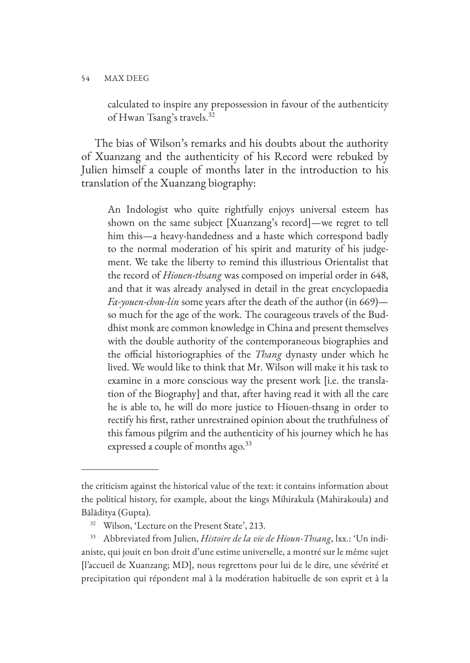calculated to inspire any prepossession in favour of the authenticity of Hwan Tsang's travels.32

The bias of Wilson's remarks and his doubts about the authority of Xuanzang and the authenticity of his Record were rebuked by Julien himself a couple of months later in the introduction to his translation of the Xuanzang biography:

An Indologist who quite rightfully enjoys universal esteem has shown on the same subject [Xuanzang's record]—we regret to tell him this—a heavy-handedness and a haste which correspond badly to the normal moderation of his spirit and maturity of his judgement. We take the liberty to remind this illustrious Orientalist that the record of *Hiouen-thsang* was composed on imperial order in 648, and that it was already analysed in detail in the great encyclopaedia *Fa-youen-chou-lin* some years after the death of the author (in 669) so much for the age of the work. The courageous travels of the Buddhist monk are common knowledge in China and present themselves with the double authority of the contemporaneous biographies and the official historiographies of the *Thang* dynasty under which he lived. We would like to think that Mr. Wilson will make it his task to examine in a more conscious way the present work [i.e. the translation of the Biography] and that, after having read it with all the care he is able to, he will do more justice to Hiouen-thsang in order to rectify his first, rather unrestrained opinion about the truthfulness of this famous pilgrim and the authenticity of his journey which he has expressed a couple of months ago. $33$ 

the criticism against the historical value of the text: it contains information about the political history, for example, about the kings Mihirakula (Mahirakoula) and Bālāditya (Gupta).

<sup>&</sup>lt;sup>32</sup> Wilson, 'Lecture on the Present State', 213.

<sup>33</sup> Abbreviated from Julien, *Histoire de la vie de Hioun-Thsang*, lxx.: 'Un indianiste, qui jouit en bon droit d'une estime universelle, a montré sur le même sujet [l'accueil de Xuanzang; MD], nous regrettons pour lui de le dire, une sévérité et precipitation qui répondent mal à la modération habituelle de son esprit et à la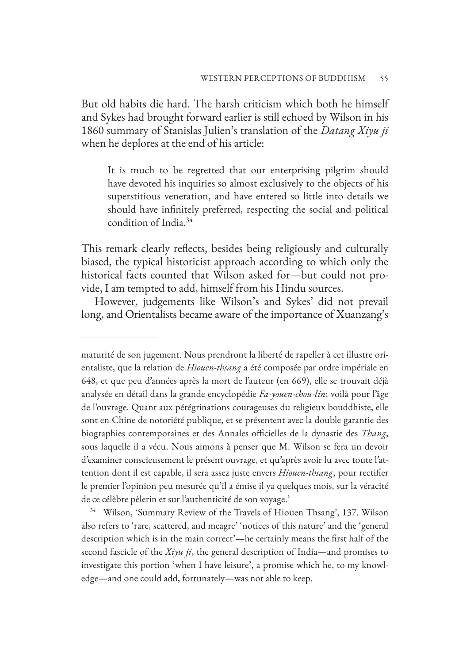But old habits die hard. The harsh criticism which both he himself and Sykes had brought forward earlier is still echoed by Wilson in his 1860 summary of Stanislas Julien's translation of the *Datang Xiyu ji* when he deplores at the end of his article:

It is much to be regretted that our enterprising pilgrim should have devoted his inquiries so almost exclusively to the objects of his superstitious veneration, and have entered so little into details we should have infinitely preferred, respecting the social and political condition of India.34

This remark clearly reflects, besides being religiously and culturally biased, the typical historicist approach according to which only the historical facts counted that Wilson asked for—but could not provide, I am tempted to add, himself from his Hindu sources.

However, judgements like Wilson's and Sykes' did not prevail long, and Orientalists became aware of the importance of Xuanzang's

maturité de son jugement. Nous prendront la liberté de rapeller à cet illustre orientaliste, que la relation de *Hiouen-thsang* a été composée par ordre impériale en 648, et que peu d'années après la mort de l'auteur (en 669), elle se trouvait déjà analysée en détail dans la grande encyclopédie *Fa-youen-chou-lin*; voilà pour l'âge de l'ouvrage. Quant aux pérégrinations courageuses du religieux bouddhiste, elle sont en Chine de notoriété publique, et se présentent avec la double garantie des biographies contemporaines et des Annales officielles de la dynastie des *Thang*, sous laquelle il a vécu. Nous aimons à penser que M. Wilson se fera un devoir d'examiner conscieusement le présent ouvrage, et qu'après avoir lu avec toute l'attention dont il est capable, il sera assez juste envers *Hiouen-thsang*, pour rectifier le premier l'opinion peu mesurée qu'il a émise il ya quelques mois, sur la véracité de ce célèbre pèlerin et sur l'authenticité de son voyage.'

<sup>34</sup> Wilson, 'Summary Review of the Travels of Hiouen Thsang', 137. Wilson also refers to 'rare, scattered, and meagre' 'notices of this nature' and the 'general description which is in the main correct'—he certainly means the first half of the second fascicle of the *Xiyu ji*, the general description of India—and promises to investigate this portion 'when I have leisure', a promise which he, to my knowledge—and one could add, fortunately—was not able to keep.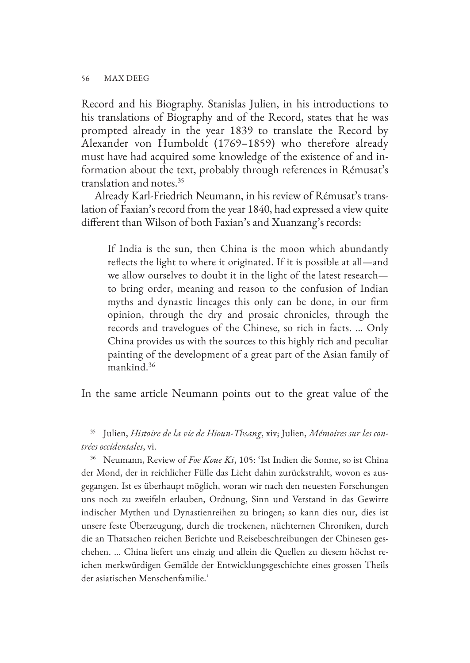Record and his Biography. Stanislas Julien, in his introductions to his translations of Biography and of the Record, states that he was prompted already in the year 1839 to translate the Record by Alexander von Humboldt (1769–1859) who therefore already must have had acquired some knowledge of the existence of and information about the text, probably through references in Rémusat's translation and notes.35

Already Karl-Friedrich Neumann, in his review of Rémusat's translation of Faxian's record from the year 1840, had expressed a view quite different than Wilson of both Faxian's and Xuanzang's records:

If India is the sun, then China is the moon which abundantly reflects the light to where it originated. If it is possible at all—and we allow ourselves to doubt it in the light of the latest research to bring order, meaning and reason to the confusion of Indian myths and dynastic lineages this only can be done, in our firm opinion, through the dry and prosaic chronicles, through the records and travelogues of the Chinese, so rich in facts. … Only China provides us with the sources to this highly rich and peculiar painting of the development of a great part of the Asian family of mankind.36

In the same article Neumann points out to the great value of the

<sup>35</sup> Julien, *Histoire de la vie de Hioun-Thsang*, xiv; Julien, *Mémoires sur les contrées occidentales*, vi.

<sup>36</sup> Neumann, Review of *Foe Koue Ki*, 105: 'Ist Indien die Sonne, so ist China der Mond, der in reichlicher Fülle das Licht dahin zurückstrahlt, wovon es ausgegangen. Ist es überhaupt möglich, woran wir nach den neuesten Forschungen uns noch zu zweifeln erlauben, Ordnung, Sinn und Verstand in das Gewirre indischer Mythen und Dynastienreihen zu bringen; so kann dies nur, dies ist unsere feste Überzeugung, durch die trockenen, nüchternen Chroniken, durch die an Thatsachen reichen Berichte und Reisebeschreibungen der Chinesen geschehen. … China liefert uns einzig und allein die Quellen zu diesem höchst reichen merkwürdigen Gemälde der Entwicklungsgeschichte eines grossen Theils der asiatischen Menschenfamilie.'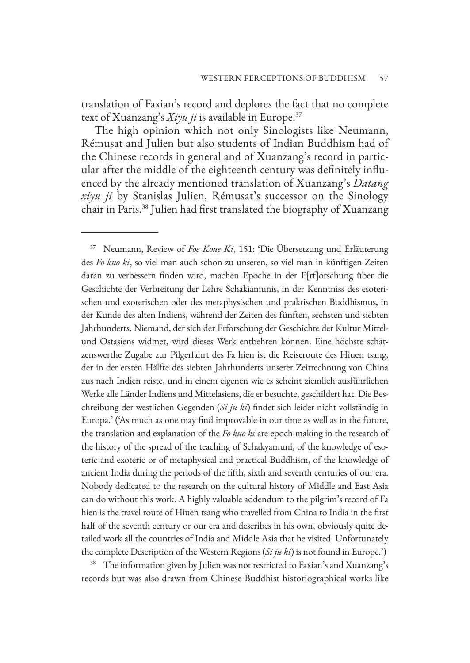translation of Faxian's record and deplores the fact that no complete text of Xuanzang's *Xiyu ji* is available in Europe.<sup>37</sup>

The high opinion which not only Sinologists like Neumann, Rémusat and Julien but also students of Indian Buddhism had of the Chinese records in general and of Xuanzang's record in particular after the middle of the eighteenth century was definitely influenced by the already mentioned translation of Xuanzang's *Datang xiyu ji* by Stanislas Julien, Rémusat's successor on the Sinology chair in Paris.38 Julien had first translated the biography of Xuanzang

<sup>38</sup> The information given by Julien was not restricted to Faxian's and Xuanzang's records but was also drawn from Chinese Buddhist historiographical works like

<sup>37</sup> Neumann, Review of *Foe Koue Ki*, 151: 'Die Übersetzung und Erläuterung des *Fo kuo ki*, so viel man auch schon zu unseren, so viel man in künftigen Zeiten daran zu verbessern finden wird, machen Epoche in der E[rf]orschung über die Geschichte der Verbreitung der Lehre Schakiamunis, in der Kenntniss des esoterischen und exoterischen oder des metaphysischen und praktischen Buddhismus, in der Kunde des alten Indiens, während der Zeiten des fünften, sechsten und siebten Jahrhunderts. Niemand, der sich der Erforschung der Geschichte der Kultur Mittelund Ostasiens widmet, wird dieses Werk entbehren können. Eine höchste schätzenswerthe Zugabe zur Pilgerfahrt des Fa hien ist die Reiseroute des Hiuen tsang, der in der ersten Hälfte des siebten Jahrhunderts unserer Zeitrechnung von China aus nach Indien reiste, und in einem eigenen wie es scheint ziemlich ausführlichen Werke alle Länder Indiens und Mittelasiens, die er besuchte, geschildert hat. Die Beschreibung der westlichen Gegenden (*Si ju ki*) findet sich leider nicht vollständig in Europa.' ('As much as one may find improvable in our time as well as in the future, the translation and explanation of the *Fo kuo ki* are epoch-making in the research of the history of the spread of the teaching of Schakyamuni, of the knowledge of esoteric and exoteric or of metaphysical and practical Buddhism, of the knowledge of ancient India during the periods of the fifth, sixth and seventh centuries of our era. Nobody dedicated to the research on the cultural history of Middle and East Asia can do without this work. A highly valuable addendum to the pilgrim's record of Fa hien is the travel route of Hiuen tsang who travelled from China to India in the first half of the seventh century or our era and describes in his own, obviously quite detailed work all the countries of India and Middle Asia that he visited. Unfortunately the complete Description of the Western Regions (*Si ju ki*) is not found in Europe.')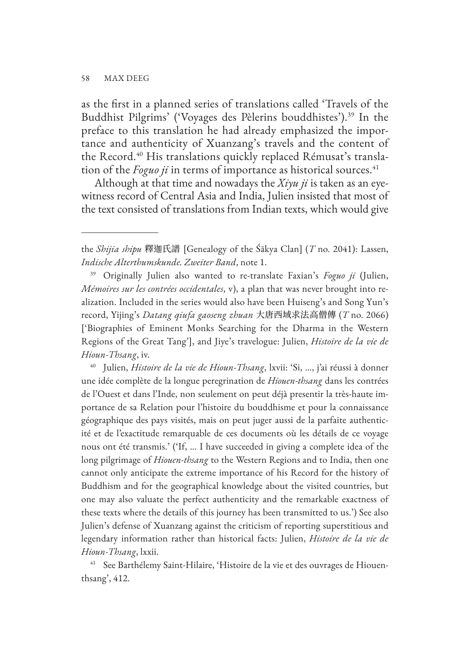as the first in a planned series of translations called 'Travels of the Buddhist Pilgrims' ('Voyages des Pèlerins bouddhistes').39 In the preface to this translation he had already emphasized the importance and authenticity of Xuanzang's travels and the content of the Record.<sup>40</sup> His translations quickly replaced Rémusat's translation of the *Foguo ji* in terms of importance as historical sources.<sup>41</sup>

Although at that time and nowadays the *Xiyu ji* is taken as an eyewitness record of Central Asia and India, Julien insisted that most of the text consisted of translations from Indian texts, which would give

<sup>39</sup> Originally Julien also wanted to re-translate Faxian's *Foguo ji* (Julien, *Mémoires sur les contrées occidentales*, v), a plan that was never brought into realization. Included in the series would also have been Huiseng's and Song Yun's record, Yijing's *Datang qiufa gaoseng zhuan* 大唐西域求法高僧傳 (*T* no. 2066) ['Biographies of Eminent Monks Searching for the Dharma in the Western Regions of the Great Tang'], and Jiye's travelogue: Julien, *Histoire de la vie de Hioun-Thsang*, iv.

<sup>40</sup> Julien, *Histoire de la vie de Hioun-Thsang*, lxvii: 'Si, …, j'ai réussi à donner une idée complète de la longue peregrination de *Hiouen-thsang* dans les contrées de l'Ouest et dans l'Inde, non seulement on peut déjà presentir la très-haute importance de sa Relation pour l'histoire du bouddhisme et pour la connaissance géographique des pays visités, mais on peut juger aussi de la parfaite authenticité et de l'exactitude remarquable de ces documents où les détails de ce voyage nous ont été transmis.' ('If, … I have succeeded in giving a complete idea of the long pilgrimage of *Hiouen-thsang* to the Western Regions and to India, then one cannot only anticipate the extreme importance of his Record for the history of Buddhism and for the geographical knowledge about the visited countries, but one may also valuate the perfect authenticity and the remarkable exactness of these texts where the details of this journey has been transmitted to us.') See also Julien's defense of Xuanzang against the criticism of reporting superstitious and legendary information rather than historical facts: Julien, *Histoire de la vie de Hioun-Thsang*, lxxii.

<sup>41</sup> See Barthélemy Saint-Hilaire, 'Histoire de la vie et des ouvrages de Hiouenthsang', 412.

the *Shijia shipu* 釋迦氏譜 [Genealogy of the Śākya Clan] (*T* no. 2041): Lassen, *Indische Alterthumskunde. Zweiter Band*, note 1.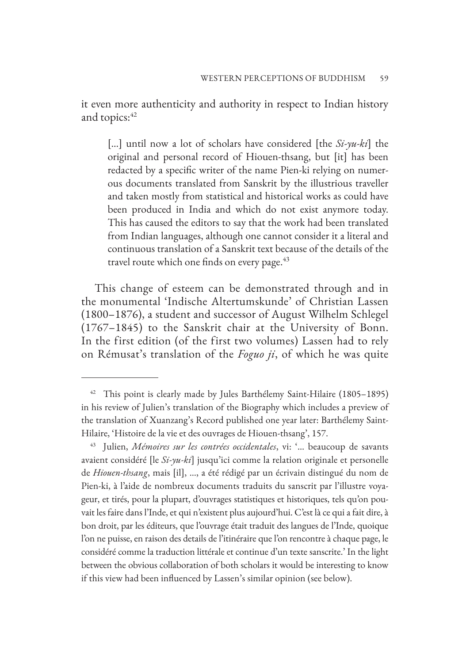it even more authenticity and authority in respect to Indian history and topics: 42

[…] until now a lot of scholars have considered [the *Si-yu-ki*] the original and personal record of Hiouen-thsang, but [it] has been redacted by a specific writer of the name Pien-ki relying on numerous documents translated from Sanskrit by the illustrious traveller and taken mostly from statistical and historical works as could have been produced in India and which do not exist anymore today. This has caused the editors to say that the work had been translated from Indian languages, although one cannot consider it a literal and continuous translation of a Sanskrit text because of the details of the travel route which one finds on every page. $43$ 

This change of esteem can be demonstrated through and in the monumental 'Indische Altertumskunde' of Christian Lassen (1800–1876), a student and successor of August Wilhelm Schlegel (1767–1845) to the Sanskrit chair at the University of Bonn. In the first edition (of the first two volumes) Lassen had to rely on Rémusat's translation of the *Foguo ji*, of which he was quite

<sup>&</sup>lt;sup>42</sup> This point is clearly made by Jules Barthélemy Saint-Hilaire (1805-1895) in his review of Julien's translation of the Biography which includes a preview of the translation of Xuanzang's Record published one year later: Barthélemy Saint-Hilaire, 'Histoire de la vie et des ouvrages de Hiouen-thsang', 157.

<sup>43</sup> Julien, *Mémoires sur les contrées occidentales*, vi: '… beaucoup de savants avaient considéré [le *Si-yu-ki*] jusqu'ici comme la relation originale et personelle de *Hiouen-thsang*, mais [il], …, a été rédigé par un écrivain distingué du nom de Pien-ki, à l'aide de nombreux documents traduits du sanscrit par l'illustre voyageur, et tirés, pour la plupart, d'ouvrages statistiques et historiques, tels qu'on pouvait les faire dans l'Inde, et qui n'existent plus aujourd'hui. C'est là ce qui a fait dire, à bon droit, par les éditeurs, que l'ouvrage était traduit des langues de l'Inde, quoique l'on ne puisse, en raison des details de l'itinéraire que l'on rencontre à chaque page, le considéré comme la traduction littérale et continue d'un texte sanscrite.' In the light between the obvious collaboration of both scholars it would be interesting to know if this view had been influenced by Lassen's similar opinion (see below).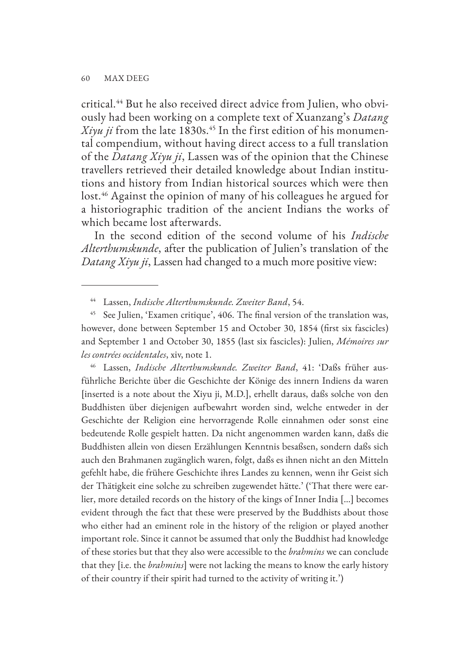critical.44 But he also received direct advice from Julien, who obviously had been working on a complete text of Xuanzang's *Datang*   $X$ *iyu ji* from the late 1830s.<sup>45</sup> In the first edition of his monumental compendium, without having direct access to a full translation of the *Datang Xiyu ji*, Lassen was of the opinion that the Chinese travellers retrieved their detailed knowledge about Indian institutions and history from Indian historical sources which were then lost.<sup>46</sup> Against the opinion of many of his colleagues he argued for a historiographic tradition of the ancient Indians the works of which became lost afterwards.

In the second edition of the second volume of his *Indische Alterthumskunde*, after the publication of Julien's translation of the *Datang Xiyu ji*, Lassen had changed to a much more positive view:

<sup>44</sup> Lassen, *Indische Alterthumskunde. Zweiter Band*, 54.

<sup>46</sup> Lassen, *Indische Alterthumskunde. Zweiter Band*, 41: 'Daßs früher ausführliche Berichte über die Geschichte der Könige des innern Indiens da waren [inserted is a note about the Xiyu ji, M.D.], erhellt daraus, daßs solche von den Buddhisten über diejenigen aufbewahrt worden sind, welche entweder in der Geschichte der Religion eine hervorragende Rolle einnahmen oder sonst eine bedeutende Rolle gespielt hatten. Da nicht angenommen warden kann, daßs die Buddhisten allein von diesen Erzählungen Kenntnis besaßsen, sondern daßs sich auch den Brahmanen zugänglich waren, folgt, daßs es ihnen nicht an den Mitteln gefehlt habe, die frühere Geschichte ihres Landes zu kennen, wenn ihr Geist sich der Thätigkeit eine solche zu schreiben zugewendet hätte.' ('That there were earlier, more detailed records on the history of the kings of Inner India […] becomes evident through the fact that these were preserved by the Buddhists about those who either had an eminent role in the history of the religion or played another important role. Since it cannot be assumed that only the Buddhist had knowledge of these stories but that they also were accessible to the *brahmins* we can conclude that they [i.e. the *brahmins*] were not lacking the means to know the early history of their country if their spirit had turned to the activity of writing it.')

<sup>&</sup>lt;sup>45</sup> See Julien, 'Examen critique', 406. The final version of the translation was, however, done between September 15 and October 30, 1854 (first six fascicles) and September 1 and October 30, 1855 (last six fascicles): Julien, *Mémoires sur les contrées occidentales*, xiv, note 1.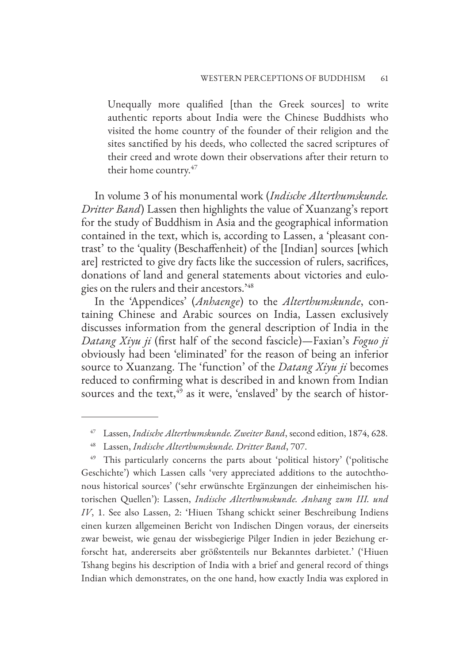Unequally more qualified [than the Greek sources] to write authentic reports about India were the Chinese Buddhists who visited the home country of the founder of their religion and the sites sanctified by his deeds, who collected the sacred scriptures of their creed and wrote down their observations after their return to their home country.47

In volume 3 of his monumental work (*Indische Alterthumskunde. Dritter Band*) Lassen then highlights the value of Xuanzang's report for the study of Buddhism in Asia and the geographical information contained in the text, which is, according to Lassen, a 'pleasant contrast' to the 'quality (Beschaffenheit) of the [Indian] sources [which are] restricted to give dry facts like the succession of rulers, sacrifices, donations of land and general statements about victories and eulogies on the rulers and their ancestors.'48

In the 'Appendices' (*Anhaenge*) to the *Alterthumskunde*, containing Chinese and Arabic sources on India, Lassen exclusively discusses information from the general description of India in the *Datang Xiyu ji* (first half of the second fascicle)—Faxian's *Foguo ji*  obviously had been 'eliminated' for the reason of being an inferior source to Xuanzang. The 'function' of the *Datang Xiyu ji* becomes reduced to confirming what is described in and known from Indian sources and the text, $45$  as it were, 'enslaved' by the search of histor-

<sup>49</sup> This particularly concerns the parts about 'political history' ('politische Geschichte') which Lassen calls 'very appreciated additions to the autochthonous historical sources' ('sehr erwünschte Ergänzungen der einheimischen historischen Quellen'): Lassen, *Indische Alterthumskunde. Anhang zum III. und IV*, 1. See also Lassen, 2: 'Hiuen Tshang schickt seiner Beschreibung Indiens einen kurzen allgemeinen Bericht von Indischen Dingen voraus, der einerseits zwar beweist, wie genau der wissbegierige Pilger Indien in jeder Beziehung erforscht hat, andererseits aber größstenteils nur Bekanntes darbietet.' ('Hiuen Tshang begins his description of India with a brief and general record of things Indian which demonstrates, on the one hand, how exactly India was explored in

<sup>47</sup> Lassen, *Indische Alterthumskunde. Zweiter Band*, second edition, 1874, 628.

<sup>48</sup> Lassen, *Indische Alterthumskunde. Dritter Band*, 707.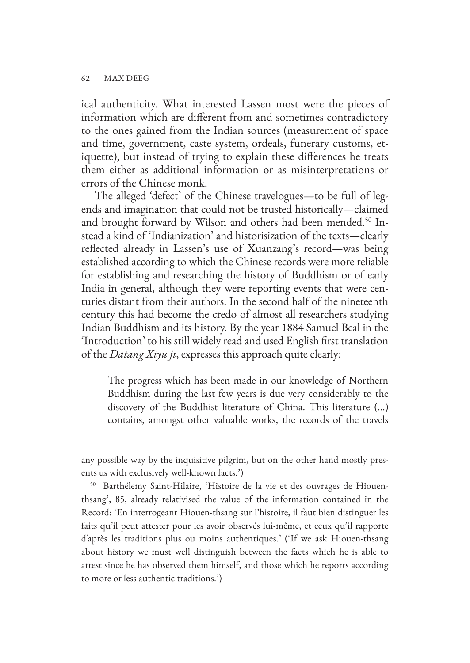ical authenticity. What interested Lassen most were the pieces of information which are different from and sometimes contradictory to the ones gained from the Indian sources (measurement of space and time, government, caste system, ordeals, funerary customs, etiquette), but instead of trying to explain these differences he treats them either as additional information or as misinterpretations or errors of the Chinese monk.

The alleged 'defect' of the Chinese travelogues—to be full of legends and imagination that could not be trusted historically—claimed and brought forward by Wilson and others had been mended.<sup>50</sup> Instead a kind of 'Indianization' and historisization of the texts—clearly reflected already in Lassen's use of Xuanzang's record—was being established according to which the Chinese records were more reliable for establishing and researching the history of Buddhism or of early India in general, although they were reporting events that were centuries distant from their authors. In the second half of the nineteenth century this had become the credo of almost all researchers studying Indian Buddhism and its history. By the year 1884 Samuel Beal in the 'Introduction' to his still widely read and used English first translation of the *Datang Xiyu ji*, expresses this approach quite clearly:

The progress which has been made in our knowledge of Northern Buddhism during the last few years is due very considerably to the discovery of the Buddhist literature of China. This literature (…) contains, amongst other valuable works, the records of the travels

any possible way by the inquisitive pilgrim, but on the other hand mostly presents us with exclusively well-known facts.')

<sup>50</sup> Barthélemy Saint-Hilaire, 'Histoire de la vie et des ouvrages de Hiouenthsang', 85, already relativised the value of the information contained in the Record: 'En interrogeant Hiouen-thsang sur l'histoire, il faut bien distinguer les faits qu'il peut attester pour les avoir observés lui-même, et ceux qu'il rapporte d'après les traditions plus ou moins authentiques.' ('If we ask Hiouen-thsang about history we must well distinguish between the facts which he is able to attest since he has observed them himself, and those which he reports according to more or less authentic traditions.')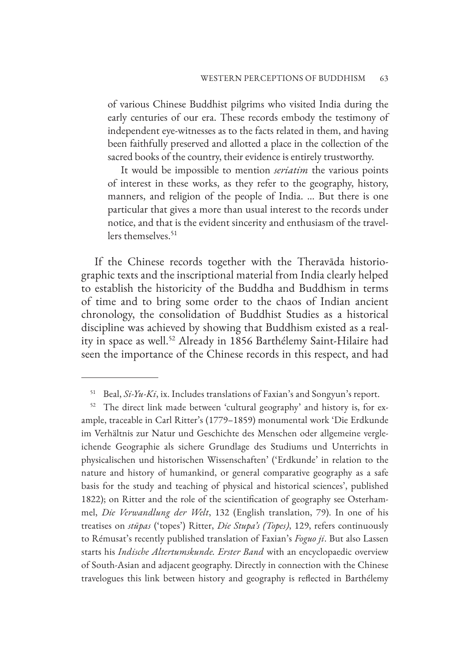of various Chinese Buddhist pilgrims who visited India during the early centuries of our era. These records embody the testimony of independent eye-witnesses as to the facts related in them, and having been faithfully preserved and allotted a place in the collection of the sacred books of the country, their evidence is entirely trustworthy.

It would be impossible to mention *seriatim* the various points of interest in these works, as they refer to the geography, history, manners, and religion of the people of India. … But there is one particular that gives a more than usual interest to the records under notice, and that is the evident sincerity and enthusiasm of the travellers themselves.<sup>51</sup>

If the Chinese records together with the Theravāda historiographic texts and the inscriptional material from India clearly helped to establish the historicity of the Buddha and Buddhism in terms of time and to bring some order to the chaos of Indian ancient chronology, the consolidation of Buddhist Studies as a historical discipline was achieved by showing that Buddhism existed as a reality in space as well.<sup>52</sup> Already in 1856 Barthélemy Saint-Hilaire had seen the importance of the Chinese records in this respect, and had

<sup>51</sup> Beal, *Si-Yu-Ki*, ix. Includes translations of Faxian's and Songyun's report.

<sup>&</sup>lt;sup>52</sup> The direct link made between 'cultural geography' and history is, for example, traceable in Carl Ritter's (1779–1859) monumental work 'Die Erdkunde im Verhältnis zur Natur und Geschichte des Menschen oder allgemeine vergleichende Geographie als sichere Grundlage des Studiums und Unterrichts in physicalischen und historischen Wissenschaften' ('Erdkunde' in relation to the nature and history of humankind, or general comparative geography as a safe basis for the study and teaching of physical and historical sciences', published 1822); on Ritter and the role of the scientification of geography see Osterhammel, *Die Verwandlung der Welt*, 132 (English translation, 79). In one of his treatises on *stūpas* ('topes') Ritter, *Die Stupa's (Topes)*, 129, refers continuously to Rémusat's recently published translation of Faxian's *Foguo ji*. But also Lassen starts his *Indische Altertumskunde. Erster Band* with an encyclopaedic overview of South-Asian and adjacent geography. Directly in connection with the Chinese travelogues this link between history and geography is reflected in Barthélemy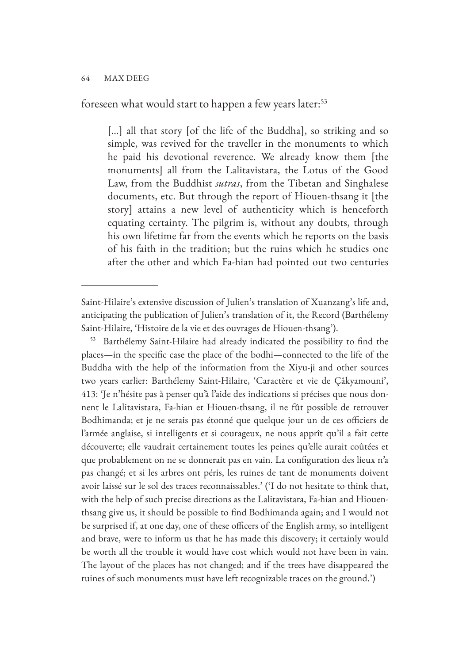foreseen what would start to happen a few years later:<sup>53</sup>

[...] all that story [of the life of the Buddha], so striking and so simple, was revived for the traveller in the monuments to which he paid his devotional reverence. We already know them [the monuments] all from the Lalitavistara, the Lotus of the Good Law, from the Buddhist *sutras*, from the Tibetan and Singhalese documents, etc. But through the report of Hiouen-thsang it [the story] attains a new level of authenticity which is henceforth equating certainty. The pilgrim is, without any doubts, through his own lifetime far from the events which he reports on the basis of his faith in the tradition; but the ruins which he studies one after the other and which Fa-hian had pointed out two centuries

<sup>53</sup> Barthélemy Saint-Hilaire had already indicated the possibility to find the places—in the specific case the place of the bodhi—connected to the life of the Buddha with the help of the information from the Xiyu-ji and other sources two years earlier: Barthélemy Saint-Hilaire, 'Caractère et vie de Çâkyamouni', 413: 'Je n'hésite pas à penser qu'à l'aide des indications si précises que nous donnent le Lalitavistara, Fa-hian et Hiouen-thsang, il ne fût possible de retrouver Bodhimanda; et je ne serais pas étonné que quelque jour un de ces officiers de l'armée anglaise, si intelligents et si courageux, ne nous apprît qu'il a fait cette découverte; elle vaudrait certainement toutes les peines qu'elle aurait coûtées et que probablement on ne se donnerait pas en vain. La configuration des lieux n'a pas changé; et si les arbres ont péris, les ruines de tant de monuments doivent avoir laissé sur le sol des traces reconnaissables.' ('I do not hesitate to think that, with the help of such precise directions as the Lalitavistara, Fa-hian and Hiouenthsang give us, it should be possible to find Bodhimanda again; and I would not be surprised if, at one day, one of these officers of the English army, so intelligent and brave, were to inform us that he has made this discovery; it certainly would be worth all the trouble it would have cost which would not have been in vain. The layout of the places has not changed; and if the trees have disappeared the ruines of such monuments must have left recognizable traces on the ground.')

Saint-Hilaire's extensive discussion of Julien's translation of Xuanzang's life and, anticipating the publication of Julien's translation of it, the Record (Barthélemy Saint-Hilaire, 'Histoire de la vie et des ouvrages de Hiouen-thsang').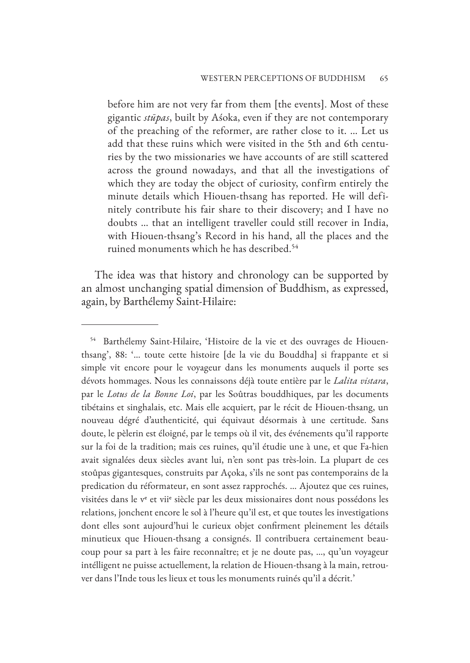before him are not very far from them [the events]. Most of these gigantic *stūpas*, built by Aśoka, even if they are not contemporary of the preaching of the reformer, are rather close to it. … Let us add that these ruins which were visited in the 5th and 6th centuries by the two missionaries we have accounts of are still scattered across the ground nowadays, and that all the investigations of which they are today the object of curiosity, confirm entirely the minute details which Hiouen-thsang has reported. He will definitely contribute his fair share to their discovery; and I have no doubts … that an intelligent traveller could still recover in India, with Hiouen-thsang's Record in his hand, all the places and the ruined monuments which he has described.<sup>54</sup>

The idea was that history and chronology can be supported by an almost unchanging spatial dimension of Buddhism, as expressed, again, by Barthélemy Saint-Hilaire:

<sup>&</sup>lt;sup>54</sup> Barthélemy Saint-Hilaire, 'Histoire de la vie et des ouvrages de Hiouenthsang', 88: '… toute cette histoire [de la vie du Bouddha] si frappante et si simple vit encore pour le voyageur dans les monuments auquels il porte ses dévots hommages. Nous les connaissons déjà toute entière par le *Lalita vistara*, par le *Lotus de la Bonne Loi*, par les Soûtras bouddhiques, par les documents tibétains et singhalais, etc. Mais elle acquiert, par le récit de Hiouen-thsang, un nouveau dégré d'authenticité, qui équivaut désormais à une certitude. Sans doute, le pèlerin est éloigné, par le temps où il vit, des événements qu'il rapporte sur la foi de la tradition; mais ces ruines, qu'il étudie une à une, et que Fa-hien avait signalées deux siècles avant lui, n'en sont pas très-loin. La plupart de ces stoûpas gigantesques, construits par Açoka, s'ils ne sont pas contemporains de la predication du réformateur, en sont assez rapprochés. … Ajoutez que ces ruines, visitées dans le ve et viie siècle par les deux missionaires dont nous possédons les relations, jonchent encore le sol à l'heure qu'il est, et que toutes les investigations dont elles sont aujourd'hui le curieux objet confirment pleinement les détails minutieux que Hiouen-thsang a consignés. Il contribuera certainement beaucoup pour sa part à les faire reconnaître; et je ne doute pas, …, qu'un voyageur intélligent ne puisse actuellement, la relation de Hiouen-thsang à la main, retrouver dans l'Inde tous les lieux et tous les monuments ruinés qu'il a décrit.'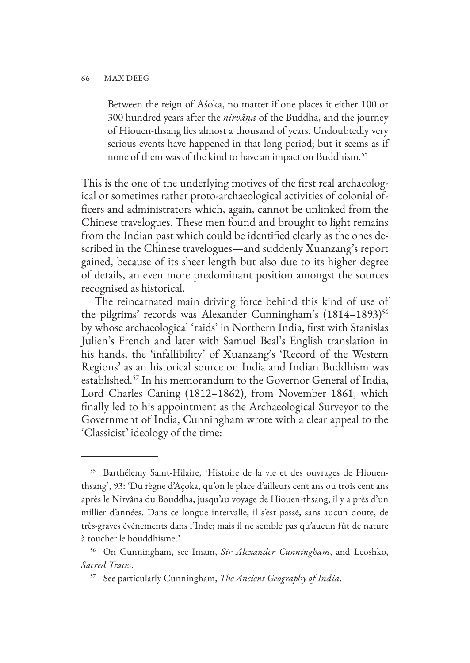Between the reign of Aśoka, no matter if one places it either 100 or 300 hundred years after the *nirvāṇa* of the Buddha, and the journey of Hiouen-thsang lies almost a thousand of years. Undoubtedly very serious events have happened in that long period; but it seems as if none of them was of the kind to have an impact on Buddhism.<sup>55</sup>

This is the one of the underlying motives of the first real archaeological or sometimes rather proto-archaeological activities of colonial officers and administrators which, again, cannot be unlinked from the Chinese travelogues. These men found and brought to light remains from the Indian past which could be identified clearly as the ones described in the Chinese travelogues—and suddenly Xuanzang's report gained, because of its sheer length but also due to its higher degree of details, an even more predominant position amongst the sources recognised as historical.

The reincarnated main driving force behind this kind of use of the pilgrims' records was Alexander Cunningham's (1814–1893)<sup>56</sup> by whose archaeological 'raids' in Northern India, first with Stanislas Julien's French and later with Samuel Beal's English translation in his hands, the 'infallibility' of Xuanzang's 'Record of the Western Regions' as an historical source on India and Indian Buddhism was established.57 In his memorandum to the Governor General of India, Lord Charles Caning (1812–1862), from November 1861, which finally led to his appointment as the Archaeological Surveyor to the Government of India, Cunningham wrote with a clear appeal to the 'Classicist' ideology of the time:

<sup>55</sup> Barthélemy Saint-Hilaire, 'Histoire de la vie et des ouvrages de Hiouenthsang', 93: 'Du règne d'Açoka, qu'on le place d'ailleurs cent ans ou trois cent ans après le Nirvâna du Bouddha, jusqu'au voyage de Hiouen-thsang, il y a près d'un millier d'années. Dans ce longue intervalle, il s'est passé, sans aucun doute, de très-graves événements dans l'Inde; mais il ne semble pas qu'aucun fût de nature à toucher le bouddhisme.'

<sup>56</sup> On Cunningham, see Imam, *Sir Alexander Cunningham*, and Leoshko, *Sacred Traces*.

<sup>57</sup> See particularly Cunningham, *The Ancient Geography of India*.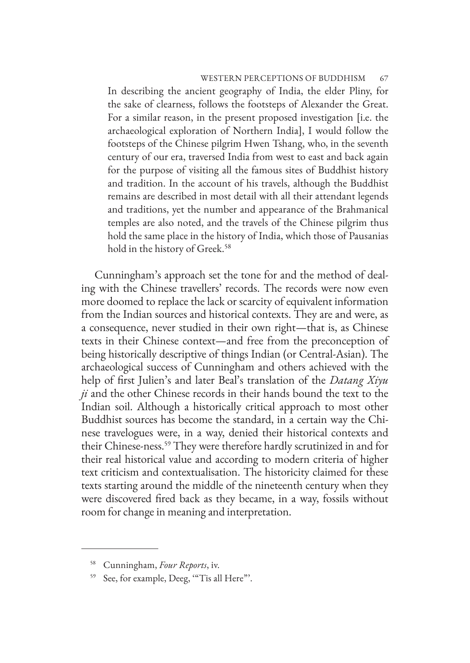### WESTERN PERCEPTIONS OF BUDDHISM 67

In describing the ancient geography of India, the elder Pliny, for the sake of clearness, follows the footsteps of Alexander the Great. For a similar reason, in the present proposed investigation [i.e. the archaeological exploration of Northern India], I would follow the footsteps of the Chinese pilgrim Hwen Tshang, who, in the seventh century of our era, traversed India from west to east and back again for the purpose of visiting all the famous sites of Buddhist history and tradition. In the account of his travels, although the Buddhist remains are described in most detail with all their attendant legends and traditions, yet the number and appearance of the Brahmanical temples are also noted, and the travels of the Chinese pilgrim thus hold the same place in the history of India, which those of Pausanias hold in the history of Greek.<sup>58</sup>

Cunningham's approach set the tone for and the method of dealing with the Chinese travellers' records. The records were now even more doomed to replace the lack or scarcity of equivalent information from the Indian sources and historical contexts. They are and were, as a consequence, never studied in their own right—that is, as Chinese texts in their Chinese context—and free from the preconception of being historically descriptive of things Indian (or Central-Asian). The archaeological success of Cunningham and others achieved with the help of first Julien's and later Beal's translation of the *Datang Xiyu ji* and the other Chinese records in their hands bound the text to the Indian soil. Although a historically critical approach to most other Buddhist sources has become the standard, in a certain way the Chinese travelogues were, in a way, denied their historical contexts and their Chinese-ness.59 They were therefore hardly scrutinized in and for their real historical value and according to modern criteria of higher text criticism and contextualisation. The historicity claimed for these texts starting around the middle of the nineteenth century when they were discovered fired back as they became, in a way, fossils without room for change in meaning and interpretation.

<sup>58</sup> Cunningham, *Four Reports*, iv.

<sup>59</sup> See, for example, Deeg, '"Tis all Here"'.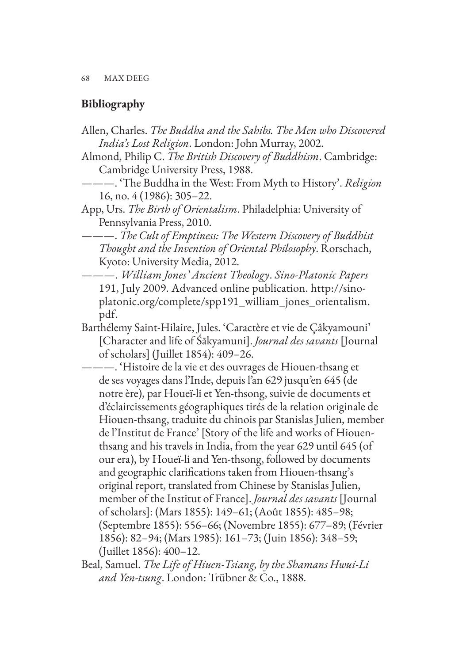# **Bibliography**

- Allen, Charles. *The Buddha and the Sahibs. The Men who Discovered India's Lost Religion*. London: John Murray, 2002.
- Almond, Philip C. *The British Discovery of Buddhism*. Cambridge: Cambridge University Press, 1988.
- ———. 'The Buddha in the West: From Myth to History'. *Religion* 16, no. 4 (1986): 305–22.
- App, Urs. *The Birth of Orientalism*. Philadelphia: University of Pennsylvania Press, 2010.

———. *The Cult of Emptiness: The Western Discovery of Buddhist Thought and the Invention of Oriental Philosophy*. Rorschach, Kyoto: University Media, 2012.

- ———. *William Jones' Ancient Theology*. *Sino-Platonic Papers* 191, July 2009. Advanced online publication. http://sinoplatonic.org/complete/spp191\_william\_jones\_orientalism. pdf.
- Barthélemy Saint-Hilaire, Jules. 'Caractère et vie de Çâkyamouni' [Character and life of Śākyamuni]. *Journal des savants* [Journal of scholars] (Juillet 1854): 409–26.
- ———. 'Histoire de la vie et des ouvrages de Hiouen-thsang et de ses voyages dans l'Inde, depuis l'an 629 jusqu'en 645 (de notre ère), par Houeï-li et Yen-thsong, suivie de documents et d'éclaircissements géographiques tirés de la relation originale de Hiouen-thsang, traduite du chinois par Stanislas Julien, member de l'Institut de France' [Story of the life and works of Hiouenthsang and his travels in India, from the year 629 until 645 (of our era), by Houeï-li and Yen-thsong, followed by documents and geographic clarifications taken from Hiouen-thsang's original report, translated from Chinese by Stanislas Julien, member of the Institut of France]. *Journal des savants* [Journal of scholars]: (Mars 1855): 149–61; (Août 1855): 485–98; (Septembre 1855): 556–66; (Novembre 1855): 677–89; (Février 1856): 82–94; (Mars 1985): 161–73; (Juin 1856): 348–59; (Juillet 1856): 400–12.
- Beal, Samuel. *The Life of Hiuen-Tsiang, by the Shamans Hwui-Li and Yen-tsung*. London: Trübner & Co., 1888.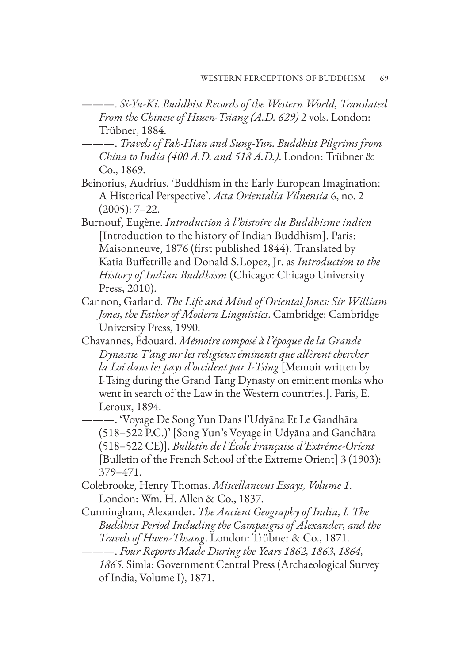- ———. *Si-Yu-Ki. Buddhist Records of the Western World, Translated From the Chinese of Hiuen-Tsiang (A.D. 629)* 2 vols. London: Trübner, 1884.
- ———. *Travels of Fah-Hian and Sung-Yun. Buddhist Pilgrims from China to India (400 A.D. and 518 A.D.)*. London: Trübner & Co., 1869.
- Beinorius, Audrius. 'Buddhism in the Early European Imagination: A Historical Perspective'. *Acta Orientalia Vilnensia* 6, no. 2 (2005): 7–22.
- Burnouf, Eugène. *Introduction à l'histoire du Buddhisme indien*  [Introduction to the history of Indian Buddhism]. Paris: Maisonneuve, 1876 (first published 1844). Translated by Katia Buffetrille and Donald S.Lopez, Jr. as *Introduction to the History of Indian Buddhism* (Chicago: Chicago University Press, 2010).
- Cannon, Garland. *The Life and Mind of Oriental Jones: Sir William Jones, the Father of Modern Linguistics*. Cambridge: Cambridge University Press, 1990.
- Chavannes, Édouard. *Mémoire composé à l'époque de la Grande Dynastie T'ang sur les religieux éminents que allèrent chercher la Loi dans les pays d'occident par I-Tsing* [Memoir written by I-Tsing during the Grand Tang Dynasty on eminent monks who went in search of the Law in the Western countries.]. Paris, E. Leroux, 1894.
- ———. 'Voyage De Song Yun Dans l'Udyāna Et Le Gandhāra (518–522 P.C.)' [Song Yun's Voyage in Udyāna and Gandhāra (518–522 CE)]. *Bulletin de l'École Française d'Extrême-Orient* [Bulletin of the French School of the Extreme Orient] 3 (1903): 379–471.
- Colebrooke, Henry Thomas. *Miscellaneous Essays, Volume 1*. London: Wm. H. Allen & Co., 1837.
- Cunningham, Alexander. *The Ancient Geography of India, I. The Buddhist Period Including the Campaigns of Alexander, and the Travels of Hwen-Thsang*. London: Trübner & Co., 1871.
- ———. *Four Reports Made During the Years 1862, 1863, 1864, 1865*. Simla: Government Central Press (Archaeological Survey of India, Volume I), 1871.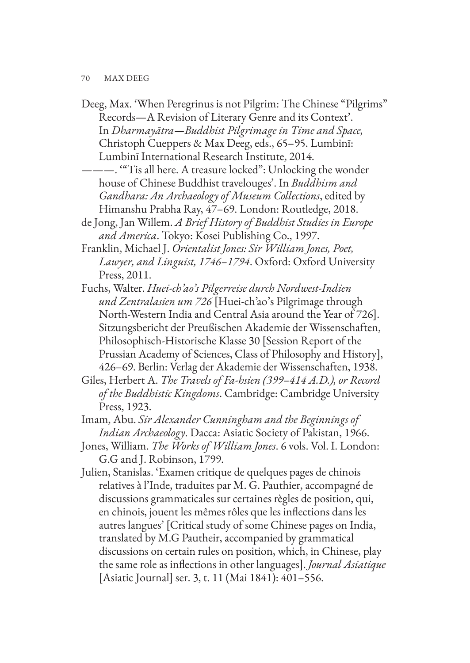- Deeg, Max. 'When Peregrinus is not Pilgrim: The Chinese "Pilgrims" Records—A Revision of Literary Genre and its Context'. In *Dharmayātra—Buddhist Pilgrimage in Time and Space,*  Christoph Cueppers & Max Deeg, eds., 65–95. Lumbinī: Lumbinī International Research Institute, 2014.
- ———. '"Tis all here. A treasure locked": Unlocking the wonder house of Chinese Buddhist travelouges'. In *Buddhism and Gandhara: An Archaeology of Museum Collections*, edited by Himanshu Prabha Ray, 47–69. London: Routledge, 2018.
- de Jong, Jan Willem. *A Brief History of Buddhist Studies in Europe and America*. Tokyo: Kosei Publishing Co., 1997.
- Franklin, Michael J. *Orientalist Jones: Sir William Jones, Poet, Lawyer, and Linguist, 1746–1794*. Oxford: Oxford University Press, 2011.
- Fuchs, Walter. *Huei-ch'ao's Pilgerreise durch Nordwest-Indien und Zentralasien um 726* [Huei-ch'ao's Pilgrimage through North-Western India and Central Asia around the Year of 726]. Sitzungsbericht der Preußischen Akademie der Wissenschaften, Philosophisch-Historische Klasse 30 [Session Report of the Prussian Academy of Sciences, Class of Philosophy and History], 426–69. Berlin: Verlag der Akademie der Wissenschaften, 1938.
- Giles, Herbert A. *The Travels of Fa-hsien (399–414 A.D.), or Record of the Buddhistic Kingdoms*. Cambridge: Cambridge University Press, 1923.
- Imam, Abu. *Sir Alexander Cunningham and the Beginnings of Indian Archaeology*. Dacca: Asiatic Society of Pakistan, 1966.
- Jones, William. *The Works of William Jones*. 6 vols. Vol. I. London: G.G and J. Robinson, 1799.
- Julien, Stanislas. 'Examen critique de quelques pages de chinois relatives à l'Inde, traduites par M. G. Pauthier, accompagné de discussions grammaticales sur certaines règles de position, qui, en chinois, jouent les mêmes rôles que les inflections dans les autres langues' [Critical study of some Chinese pages on India, translated by M.G Pautheir, accompanied by grammatical discussions on certain rules on position, which, in Chinese, play the same role as inflections in other languages]. *Journal Asiatique* [Asiatic Journal] ser. 3, t. 11 (Mai 1841): 401–556.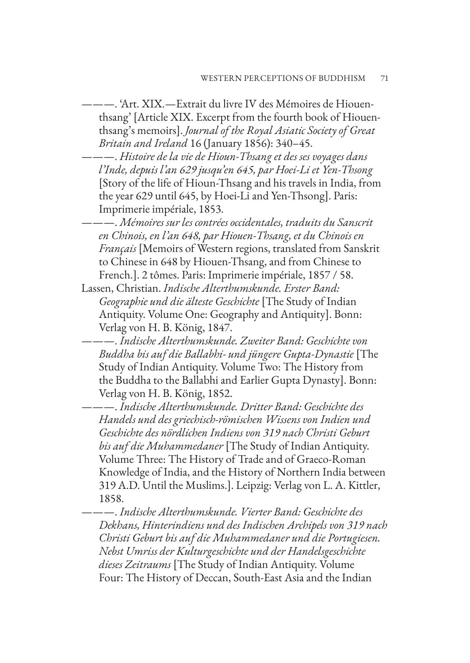———. 'Art. XIX.—Extrait du livre IV des Mémoires de Hiouenthsang' [Article XIX. Excerpt from the fourth book of Hiouenthsang's memoirs]. *Journal of the Royal Asiatic Society of Great Britain and Ireland* 16 (January 1856): 340–45.

———. *Histoire de la vie de Hioun-Thsang et des ses voyages dans l'Inde, depuis l'an 629 jusqu'en 645, par Hoei-Li et Yen-Thsong*  [Story of the life of Hioun-Thsang and his travels in India, from the year 629 until 645, by Hoei-Li and Yen-Thsong]. Paris: Imprimerie impériale, 1853.

———. *Mémoires sur les contrées occidentales, traduits du Sanscrit en Chinois, en l'an 648, par Hiouen-Thsang, et du Chinois en Français* [Memoirs of Western regions, translated from Sanskrit to Chinese in 648 by Hiouen-Thsang, and from Chinese to French.]. 2 tômes. Paris: Imprimerie impériale, 1857 / 58.

Lassen, Christian. *Indische Alterthumskunde. Erster Band: Geographie und die älteste Geschichte* [The Study of Indian Antiquity. Volume One: Geography and Antiquity]. Bonn: Verlag von H. B. König, 1847.

———. *Indische Alterthumskunde. Zweiter Band: Geschichte von Buddha bis auf die Ballabhi- und jüngere Gupta-Dynastie* [The Study of Indian Antiquity. Volume Two: The History from the Buddha to the Ballabhi and Earlier Gupta Dynasty]. Bonn: Verlag von H. B. König, 1852.

———. *Indische Alterthumskunde. Dritter Band: Geschichte des Handels und des griechisch-römischen Wissens von Indien und Geschichte des nördlichen Indiens von 319 nach Christi Geburt bis auf die Muhammedaner* [The Study of Indian Antiquity. Volume Three: The History of Trade and of Graeco-Roman Knowledge of India, and the History of Northern India between 319 A.D. Until the Muslims.]. Leipzig: Verlag von L. A. Kittler, 1858.

———. *Indische Alterthumskunde. Vierter Band: Geschichte des Dekhans, Hinterindiens und des Indischen Archipels von 319 nach Christi Geburt bis auf die Muhammedaner und die Portugiesen. Nebst Umriss der Kulturgeschichte und der Handelsgeschichte dieses Zeitraums* [The Study of Indian Antiquity. Volume Four: The History of Deccan, South-East Asia and the Indian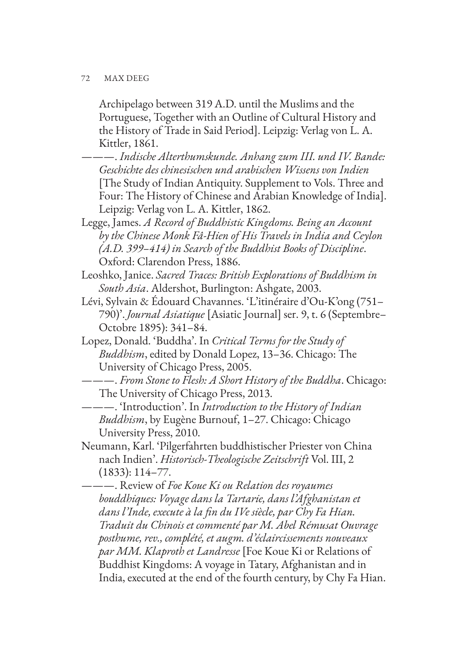Archipelago between 319 A.D. until the Muslims and the Portuguese, Together with an Outline of Cultural History and the History of Trade in Said Period]. Leipzig: Verlag von L. A. Kittler, 1861.

- ———. *Indische Alterthumskunde. Anhang zum III. und IV. Bande: Geschichte des chinesischen und arabischen Wissens von Indien*  [The Study of Indian Antiquity. Supplement to Vols. Three and Four: The History of Chinese and Arabian Knowledge of India]. Leipzig: Verlag von L. A. Kittler, 1862.
- Legge, James. *A Record of Buddhistic Kingdoms. Being an Account by the Chinese Monk Fâ-Hien of His Travels in India and Ceylon (A.D. 399–414) in Search of the Buddhist Books of Discipline*. Oxford: Clarendon Press, 1886.
- Leoshko, Janice. *Sacred Traces: British Explorations of Buddhism in South Asia*. Aldershot, Burlington: Ashgate, 2003.
- Lévi, Sylvain & Édouard Chavannes. 'L'itinéraire d'Ou-K'ong (751– 790)'. *Journal Asiatique* [Asiatic Journal] ser. 9, t. 6 (Septembre– Octobre 1895): 341–84.
- Lopez, Donald. 'Buddha'. In *Critical Terms for the Study of Buddhism*, edited by Donald Lopez, 13–36. Chicago: The University of Chicago Press, 2005.
- ———. *From Stone to Flesh: A Short History of the Buddha*. Chicago: The University of Chicago Press, 2013.
- ———. 'Introduction'. In *Introduction to the History of Indian Buddhism*, by Eugène Burnouf, 1–27. Chicago: Chicago University Press, 2010.
- Neumann, Karl. 'Pilgerfahrten buddhistischer Priester von China nach Indien'. *Historisch-Theologische Zeitschrift* Vol. III, 2 (1833): 114–77.

———. Review of *Foe Koue Ki ou Relation des royaumes bouddhiques: Voyage dans la Tartarie, dans l'Afghanistan et dans l'Inde, execute à la fin du IVe siècle, par Chy Fa Hian. Traduit du Chinois et commenté par M. Abel Rémusat Ouvrage posthume, rev., complété, et augm. d'éclaircissements nouveaux par MM. Klaproth et Landresse* [Foe Koue Ki or Relations of Buddhist Kingdoms: A voyage in Tatary, Afghanistan and in India, executed at the end of the fourth century, by Chy Fa Hian.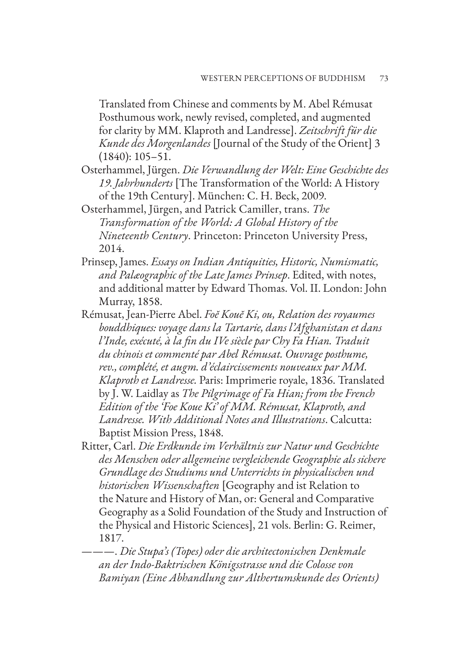Translated from Chinese and comments by M. Abel Rémusat Posthumous work, newly revised, completed, and augmented for clarity by MM. Klaproth and Landresse]. *Zeitschrift für die Kunde des Morgenlandes* [Journal of the Study of the Orient] 3 (1840): 105–51.

- Osterhammel, Jürgen. *Die Verwandlung der Welt: Eine Geschichte des 19. Jahrhunderts* [The Transformation of the World: A History of the 19th Century]. München: C. H. Beck, 2009.
- Osterhammel, Jürgen, and Patrick Camiller, trans. *The Transformation of the World: A Global History of the Nineteenth Century*. Princeton: Princeton University Press, 2014.
- Prinsep, James. *Essays on Indian Antiquities, Historic, Numismatic, and Palæographic of the Late James Prinsep*. Edited, with notes, and additional matter by Edward Thomas. Vol. II. London: John Murray, 1858.
- Rémusat, Jean-Pierre Abel. *Foĕ Kouĕ Ki, ou, Relation des royaumes bouddhiques: voyage dans la Tartarie, dans l'Afghanistan et dans l'Inde, exécuté, à la fin du IVe siècle par Chy Fa Hian. Traduit du chinois et commenté par Abel Rémusat. Ouvrage posthume, rev., complété, et augm. d'éclaircissements nouveaux par MM. Klaproth et Landresse.* Paris: Imprimerie royale, 1836. Translated by J. W. Laidlay as *The Pilgrimage of Fa Hian; from the French Edition of the 'Foe Koue Ki' of MM. Rémusat, Klaproth, and Landresse. With Additional Notes and Illustrations*. Calcutta: Baptist Mission Press, 1848.
- Ritter, Carl. *Die Erdkunde im Verhältnis zur Natur und Geschichte des Menschen oder allgemeine vergleichende Geographie als sichere Grundlage des Studiums und Unterrichts in physicalischen und historischen Wissenschaften* [Geography and ist Relation to the Nature and History of Man, or: General and Comparative Geography as a Solid Foundation of the Study and Instruction of the Physical and Historic Sciences], 21 vols. Berlin: G. Reimer, 1817.

———. *Die Stupa's (Topes) oder die architectonischen Denkmale an der Indo-Baktrischen Königsstrasse und die Colosse von Bamiyan (Eine Abhandlung zur Althertumskunde des Orients)*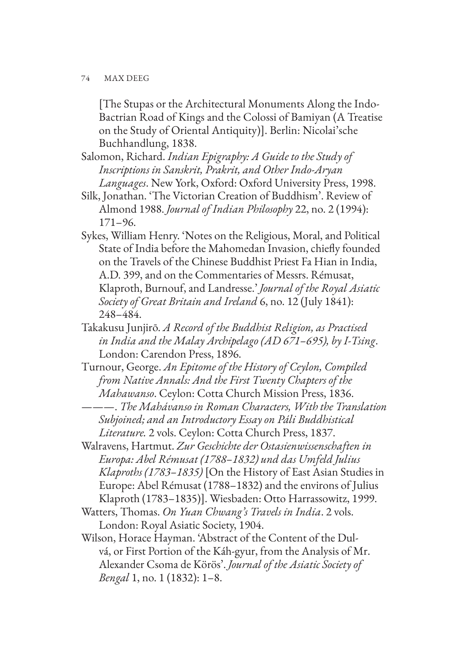[The Stupas or the Architectural Monuments Along the Indo-Bactrian Road of Kings and the Colossi of Bamiyan (A Treatise on the Study of Oriental Antiquity)]. Berlin: Nicolai'sche Buchhandlung, 1838.

- Salomon, Richard. *Indian Epigraphy: A Guide to the Study of Inscriptions in Sanskrit, Prakrit, and Other Indo-Aryan Languages*. New York, Oxford: Oxford University Press, 1998.
- Silk, Jonathan. 'The Victorian Creation of Buddhism'. Review of Almond 1988. *Journal of Indian Philosophy* 22, no. 2 (1994): 171–96.
- Sykes, William Henry. 'Notes on the Religious, Moral, and Political State of India before the Mahomedan Invasion, chiefly founded on the Travels of the Chinese Buddhist Priest Fa Hian in India, A.D. 399, and on the Commentaries of Messrs. Rémusat, Klaproth, Burnouf, and Landresse.' *Journal of the Royal Asiatic Society of Great Britain and Ireland* 6, no. 12 (July 1841): 248–484.
- Takakusu Junjirō. *A Record of the Buddhist Religion, as Practised in India and the Malay Archipelago (AD 671–695), by I-Tsing*. London: Carendon Press, 1896.
- Turnour, George. *An Epitome of the History of Ceylon, Compiled from Native Annals: And the First Twenty Chapters of the Mahawanso*. Ceylon: Cotta Church Mission Press, 1836. ———. *The Mahávanso in Roman Characters, With the Translation Subjoined; and an Introductory Essay on Páli Buddhistical*

- Walravens, Hartmut. *Zur Geschichte der Ostasienwissenschaften in Europa: Abel Rémusat (1788–1832) und das Umfeld Julius Klaproths (1783–1835)* [On the History of East Asian Studies in Europe: Abel Rémusat (1788–1832) and the environs of Julius Klaproth (1783–1835)]. Wiesbaden: Otto Harrassowitz, 1999.
- Watters, Thomas. *On Yuan Chwang's Travels in India*. 2 vols. London: Royal Asiatic Society, 1904.
- Wilson, Horace Hayman. 'Abstract of the Content of the Dulvá, or First Portion of the Káh-gyur, from the Analysis of Mr. Alexander Csoma de Körös'. *Journal of the Asiatic Society of Bengal* 1, no. 1 (1832): 1–8.

*Literature.* 2 vols. Ceylon: Cotta Church Press, 1837.